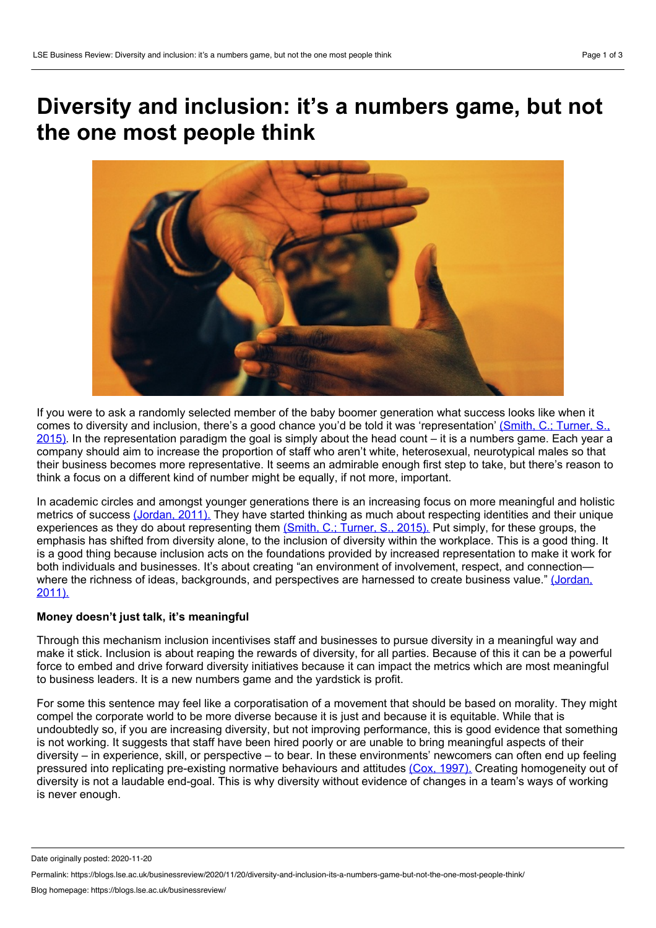# **Diversity and inclusion: it's a numbers game, but not the one most people think**



If you were to ask a randomly selected member of the baby boomer generation what success looks like when it comes to diversity and inclusion, there's a good chance you'd be told it was ['representation'](https://launchbox365.com/wp-content/uploads/2017/03/us-inclus-millennial-influence-120215.pdf) (Smith, C.; Turner, S.,  $2015$ ). In the representation paradigm the goal is simply about the head count – it is a numbers game. Each year a company should aim to increase the proportion of staff who aren't white, heterosexual, neurotypical males so that their business becomes more representative. It seems an admirable enough first step to take, but there's reason to think a focus on a different kind of number might be equally, if not more, important.

In academic circles and amongst younger generations there is an increasing focus on more meaningful and holistic metrics of success [\(Jordan,](http://dev.orgwise.ca/sites/osi.ocasi.org.stage/files/Moving%20From%20Diversity%20to%20Inclusion.pdf) 2011). They have started thinking as much about respecting identities and their unique experiences as they do about representing them (Smith, C.; [Turner,](https://launchbox365.com/wp-content/uploads/2017/03/us-inclus-millennial-influence-120215.pdf) S., 2015). Put simply, for these groups, the emphasis has shifted from diversity alone, to the inclusion of diversity within the workplace. This is a good thing. It is a good thing because inclusion acts on the foundations provided by increased representation to make it work for both individuals and businesses. It's about creating "an environment of involvement, respect, and connectionwhere the richness of ideas, [backgrounds,](http://dev.orgwise.ca/sites/osi.ocasi.org.stage/files/Moving%20From%20Diversity%20to%20Inclusion.pdf) and perspectives are harnessed to create business value." (Jordan, 2011).

## **Money doesn't just talk, it's meaningful**

Through this mechanism inclusion incentivises staff and businesses to pursue diversity in a meaningful way and make it stick. Inclusion is about reaping the rewards of diversity, for all parties. Because of this it can be a powerful force to embed and drive forward diversity initiatives because it can impact the metrics which are most meaningful to business leaders. It is a new numbers game and the yardstick is profit.

For some this sentence may feel like a corporatisation of a movement that should be based on morality. They might compel the corporate world to be more diverse because it is just and because it is equitable. While that is undoubtedly so, if you are increasing diversity, but not improving performance, this is good evidence that something is not working. It suggests that staff have been hired poorly or are unable to bring meaningful aspects of their diversity – in experience, skill, or perspective – to bear. In these environments' newcomers can often end up feeling pressured into replicating pre-existing normative behaviours and attitudes (Cox, [1997\).](https://books.google.co.uk/books?hl=en&lr=&id=5g10nG8dA1YC&oi=fnd&pg=PA1&dq=Developing+Competency+to+Manage+Diversity&ots=ivBKiDWxQr&sig=Hm3UNsUj0l6wM2rx5GN0SpGTqpA#v=onepage&q=Developing%20Competency%20to%20Manage%20Diversity&f=false) Creating homogeneity out of diversity is not a laudable end-goal. This is why diversity without evidence of changes in a team's ways of working is never enough.

Date originally posted: 2020-11-20

Permalink: https://blogs.lse.ac.uk/businessreview/2020/11/20/diversity-and-inclusion-its-a-numbers-game-but-not-the-one-most-people-think/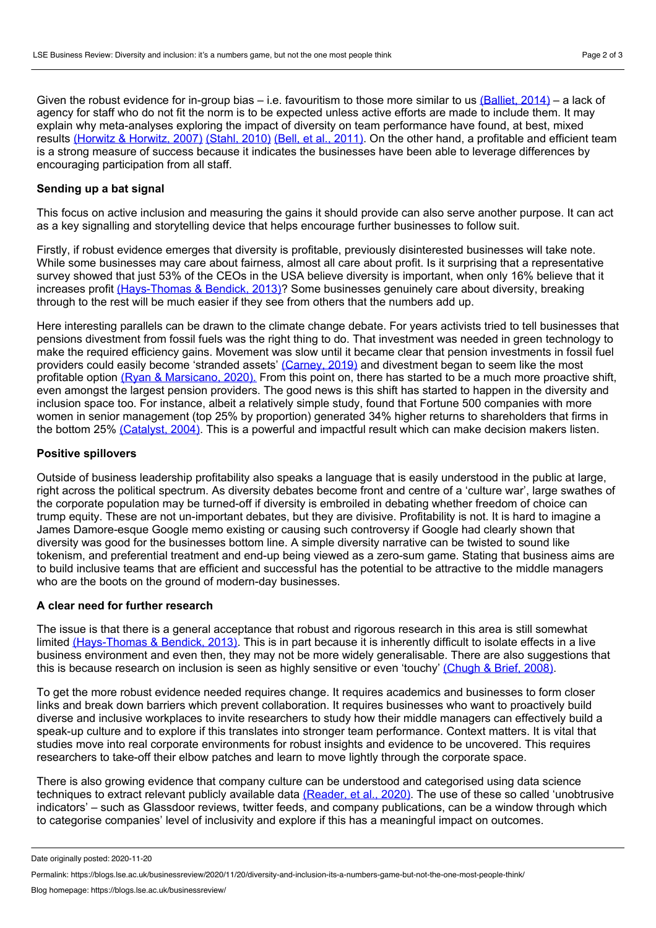Given the robust evidence for in-group bias – i.e. favouritism to those more similar to us  $(Balliet, 2014)$  $(Balliet, 2014)$  – a lack of agency for staff who do not fit the norm is to be expected unless active efforts are made to include them. It may explain why meta-analyses exploring the impact of diversity on team performance have found, at best, mixed results [\(Horwitz](https://journals.sagepub.com/doi/abs/10.1177/0149206307308587) & Horwitz, 2007) [\(Stahl,](https://link.springer.com/article/10.1057/jibs.2009.85) 2010) (Bell, et al., [2011\).](https://journals.sagepub.com/doi/abs/10.1177/0149206310365001) On the other hand, a profitable and efficient team is a strong measure of success because it indicates the businesses have been able to leverage differences by encouraging participation from all staff.

## **Sending up a bat signal**

This focus on active inclusion and measuring the gains it should provide can also serve another purpose. It can act as a key signalling and storytelling device that helps encourage further businesses to follow suit.

Firstly, if robust evidence emerges that diversity is profitable, previously disinterested businesses will take note. While some businesses may care about fairness, almost all care about profit. Is it surprising that a representative survey showed that just 53% of the CEOs in the USA believe diversity is important, when only 16% believe that it increases profit [\(Hays-Thomas](https://onlinelibrary.wiley.com/doi/abs/10.1111/iops.12033) & Bendick, 2013)? Some businesses genuinely care about diversity, breaking through to the rest will be much easier if they see from others that the numbers add up.

Here interesting parallels can be drawn to the climate change debate. For years activists tried to tell businesses that pensions divestment from fossil fuels was the right thing to do. That investment was needed in green technology to make the required efficiency gains. Movement was slow until it became clear that pension investments in fossil fuel providers could easily become 'stranded assets' [\(Carney,](https://www.bankofengland.co.uk/-/media/boe/files/speech/2019/remarks-by-mark-carney-at-the-us-climate-action-centre-madrid.pdf) 2019) and divestment began to seem like the most profitable option (Ryan & [Marsicano,](https://papers.ssrn.com/sol3/papers.cfm?abstract_id=3501231) 2020). From this point on, there has started to be a much more proactive shift, even amongst the largest pension providers. The good news is this shift has started to happen in the diversity and inclusion space too. For instance, albeit a relatively simple study, found that Fortune 500 companies with more women in senior management (top 25% by proportion) generated 34% higher returns to shareholders that firms in the bottom 25% [\(Catalyst,](https://www.catalyst.org/research/the-bottom-line-connecting-corporate-performance-and-gender-diversity/) 2004). This is a powerful and impactful result which can make decision makers listen.

## **Positive spillovers**

Outside of business leadership profitability also speaks a language that is easily understood in the public at large, right across the political spectrum. As diversity debates become front and centre of a 'culture war', large swathes of the corporate population may be turned-off if diversity is embroiled in debating whether freedom of choice can trump equity. These are not un-important debates, but they are divisive. Profitability is not. It is hard to imagine a James Damore-esque Google memo existing or causing such controversy if Google had clearly shown that diversity was good for the businesses bottom line. A simple diversity narrative can be twisted to sound like tokenism, and preferential treatment and end-up being viewed as a zero-sum game. Stating that business aims are to build inclusive teams that are efficient and successful has the potential to be attractive to the middle managers who are the boots on the ground of modern-day businesses.

### **A clear need for further research**

The issue is that there is a general acceptance that robust and rigorous research in this area is still somewhat limited [\(Hays-Thomas](https://onlinelibrary.wiley.com/doi/abs/10.1111/iops.12033) & Bendick, 2013). This is in part because it is inherently difficult to isolate effects in a live business environment and even then, they may not be more widely generalisable. There are also suggestions that this is because research on inclusion is seen as highly sensitive or even 'touchy' [\(Chugh](https://static1.squarespace.com/static/5809142d20099eb094e1cdaf/t/584431fb03596e3099f162ef/1480864251580/where-the-sweet-spot-is.pdf) & Brief, 2008).

To get the more robust evidence needed requires change. It requires academics and businesses to form closer links and break down barriers which prevent collaboration. It requires businesses who want to proactively build diverse and inclusive workplaces to invite researchers to study how their middle managers can effectively build a speak-up culture and to explore if this translates into stronger team performance. Context matters. It is vital that studies move into real corporate environments for robust insights and evidence to be uncovered. This requires researchers to take-off their elbow patches and learn to move lightly through the corporate space.

There is also growing evidence that company culture can be understood and categorised using data science techniques to extract relevant publicly available data [\(Reader,](https://www.tandfonline.com/doi/abs/10.1080/1359432X.2020.1764536) et al., 2020). The use of these so called 'unobtrusive indicators' – such as Glassdoor reviews, twitter feeds, and company publications, can be a window through which to categorise companies' level of inclusivity and explore if this has a meaningful impact on outcomes.

Date originally posted: 2020-11-20

Permalink: https://blogs.lse.ac.uk/businessreview/2020/11/20/diversity-and-inclusion-its-a-numbers-game-but-not-the-one-most-people-think/